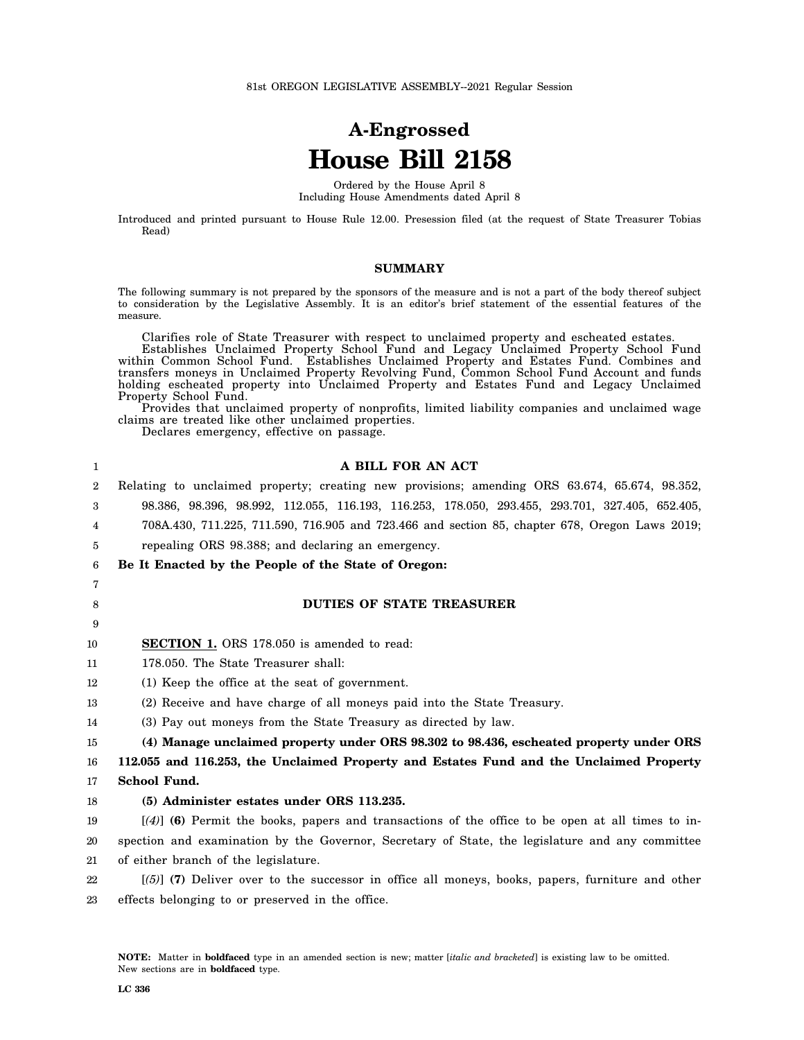# **A-Engrossed House Bill 2158**

Ordered by the House April 8 Including House Amendments dated April 8

Introduced and printed pursuant to House Rule 12.00. Presession filed (at the request of State Treasurer Tobias Read)

### **SUMMARY**

The following summary is not prepared by the sponsors of the measure and is not a part of the body thereof subject to consideration by the Legislative Assembly. It is an editor's brief statement of the essential features of the measure.

Clarifies role of State Treasurer with respect to unclaimed property and escheated estates.

Establishes Unclaimed Property School Fund and Legacy Unclaimed Property School Fund within Common School Fund. Establishes Unclaimed Property and Estates Fund. Combines and transfers moneys in Unclaimed Property Revolving Fund, Common School Fund Account and funds holding escheated property into Unclaimed Property and Estates Fund and Legacy Unclaimed Property School Fund.

Provides that unclaimed property of nonprofits, limited liability companies and unclaimed wage claims are treated like other unclaimed properties.

Declares emergency, effective on passage.

| 1              | A BILL FOR AN ACT                                                                                  |
|----------------|----------------------------------------------------------------------------------------------------|
| $\overline{2}$ | Relating to unclaimed property; creating new provisions; amending ORS 63.674, 65.674, 98.352,      |
| 3              | 98.386, 98.396, 98.992, 112.055, 116.193, 116.253, 178.050, 293.455, 293.701, 327.405, 652.405,    |
| 4              | 708A.430, 711.225, 711.590, 716.905 and 723.466 and section 85, chapter 678, Oregon Laws 2019;     |
| 5              | repealing ORS 98.388; and declaring an emergency.                                                  |
| 6              | Be It Enacted by the People of the State of Oregon:                                                |
| 7              |                                                                                                    |
| 8              | <b>DUTIES OF STATE TREASURER</b>                                                                   |
| 9              |                                                                                                    |
| 10             | <b>SECTION 1.</b> ORS 178.050 is amended to read:                                                  |
| 11             | 178.050. The State Treasurer shall:                                                                |
| 12             | (1) Keep the office at the seat of government.                                                     |
| 13             | (2) Receive and have charge of all moneys paid into the State Treasury.                            |
| 14             | (3) Pay out moneys from the State Treasury as directed by law.                                     |
| 15             | (4) Manage unclaimed property under ORS 98.302 to 98.436, escheated property under ORS             |
| 16             | 112.055 and 116.253, the Unclaimed Property and Estates Fund and the Unclaimed Property            |
| 17             | School Fund.                                                                                       |
| 18             | (5) Administer estates under ORS 113.235.                                                          |
| 19             | $[(4)]$ (6) Permit the books, papers and transactions of the office to be open at all times to in- |
| 20             | spection and examination by the Governor, Secretary of State, the legislature and any committee    |
| 21             | of either branch of the legislature.                                                               |
| 22             | $[56]$ (7) Deliver over to the successor in office all moneys, books, papers, furniture and other  |
| 23             | effects belonging to or preserved in the office.                                                   |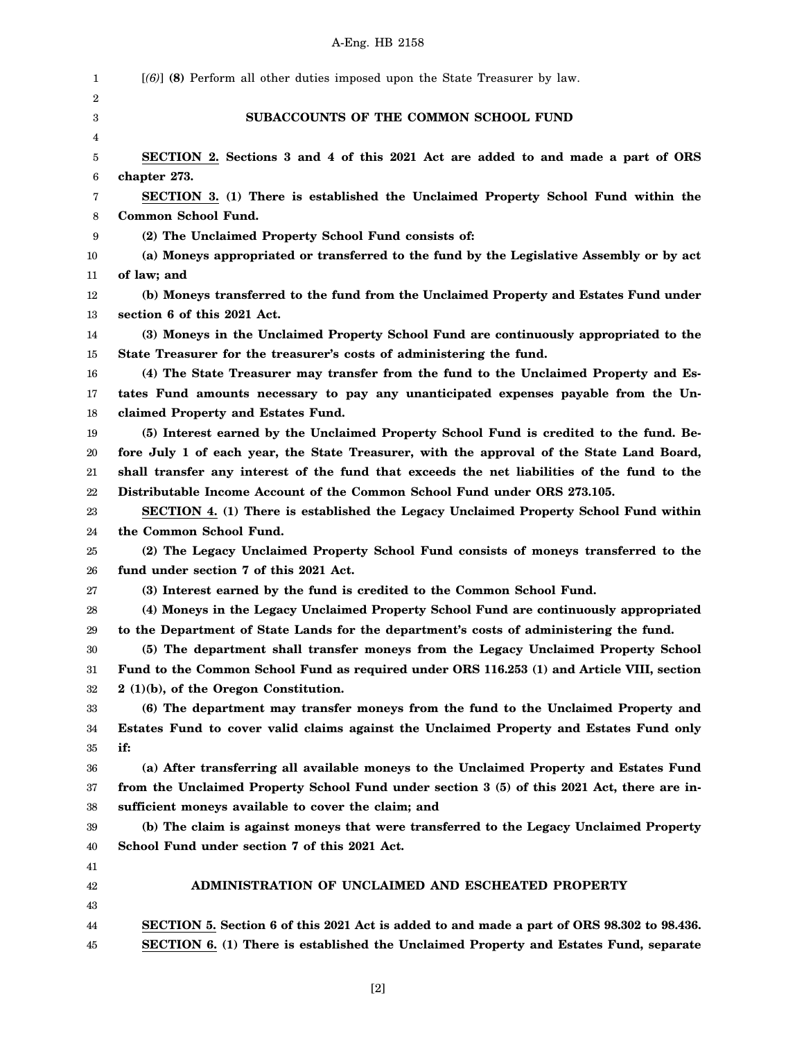| 1  | $[(6)]$ (8) Perform all other duties imposed upon the State Treasurer by law.               |
|----|---------------------------------------------------------------------------------------------|
| 2  |                                                                                             |
| 3  | SUBACCOUNTS OF THE COMMON SCHOOL FUND                                                       |
| 4  |                                                                                             |
| 5  | SECTION 2. Sections 3 and 4 of this 2021 Act are added to and made a part of ORS            |
| 6  | chapter 273.                                                                                |
| 7  | SECTION 3. (1) There is established the Unclaimed Property School Fund within the           |
| 8  | Common School Fund.                                                                         |
| 9  | (2) The Unclaimed Property School Fund consists of:                                         |
| 10 | (a) Moneys appropriated or transferred to the fund by the Legislative Assembly or by act    |
| 11 | of law; and                                                                                 |
| 12 | (b) Moneys transferred to the fund from the Unclaimed Property and Estates Fund under       |
| 13 | section 6 of this 2021 Act.                                                                 |
| 14 | (3) Moneys in the Unclaimed Property School Fund are continuously appropriated to the       |
| 15 | State Treasurer for the treasurer's costs of administering the fund.                        |
| 16 | (4) The State Treasurer may transfer from the fund to the Unclaimed Property and Es-        |
| 17 | tates Fund amounts necessary to pay any unanticipated expenses payable from the Un-         |
| 18 | claimed Property and Estates Fund.                                                          |
| 19 | (5) Interest earned by the Unclaimed Property School Fund is credited to the fund. Be-      |
| 20 | fore July 1 of each year, the State Treasurer, with the approval of the State Land Board,   |
| 21 | shall transfer any interest of the fund that exceeds the net liabilities of the fund to the |
| 22 | Distributable Income Account of the Common School Fund under ORS 273.105.                   |
| 23 | SECTION 4. (1) There is established the Legacy Unclaimed Property School Fund within        |
| 24 | the Common School Fund.                                                                     |
| 25 | (2) The Legacy Unclaimed Property School Fund consists of moneys transferred to the         |
| 26 | fund under section 7 of this 2021 Act.                                                      |
| 27 | (3) Interest earned by the fund is credited to the Common School Fund.                      |
| 28 | (4) Moneys in the Legacy Unclaimed Property School Fund are continuously appropriated       |
| 29 | to the Department of State Lands for the department's costs of administering the fund.      |
| 30 | (5) The department shall transfer moneys from the Legacy Unclaimed Property School          |
| 31 | Fund to the Common School Fund as required under ORS 116.253 (1) and Article VIII, section  |
| 32 | 2 (1)(b), of the Oregon Constitution.                                                       |
| 33 | (6) The department may transfer moneys from the fund to the Unclaimed Property and          |
| 34 | Estates Fund to cover valid claims against the Unclaimed Property and Estates Fund only     |
| 35 | if:                                                                                         |
| 36 | (a) After transferring all available moneys to the Unclaimed Property and Estates Fund      |
| 37 | from the Unclaimed Property School Fund under section 3 (5) of this 2021 Act, there are in- |
| 38 | sufficient moneys available to cover the claim; and                                         |
| 39 | (b) The claim is against moneys that were transferred to the Legacy Unclaimed Property      |
| 40 | School Fund under section 7 of this 2021 Act.                                               |
| 41 |                                                                                             |
| 42 | ADMINISTRATION OF UNCLAIMED AND ESCHEATED PROPERTY                                          |
| 43 |                                                                                             |
| 44 | SECTION 5. Section 6 of this 2021 Act is added to and made a part of ORS 98.302 to 98.436.  |
| 45 | SECTION 6. (1) There is established the Unclaimed Property and Estates Fund, separate       |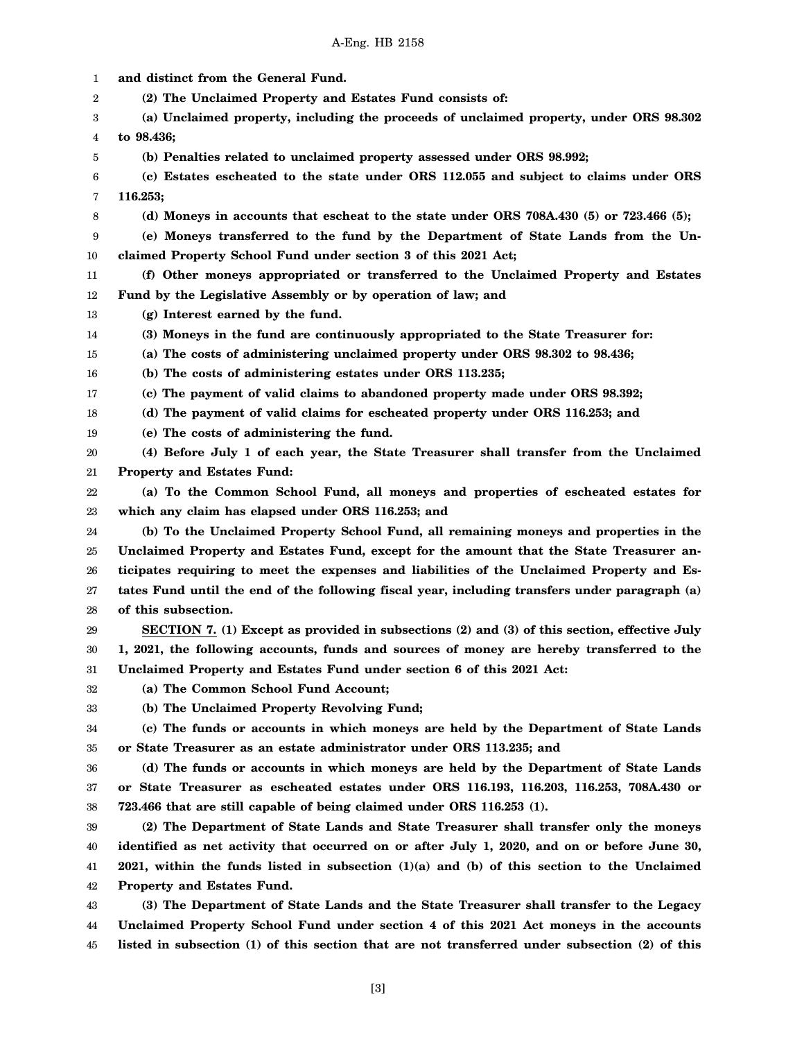1 2 3 4 5 6 7 8 9 10 11 12 13 14 15 16 17 18 19 20 21 22 23 24 25 26 27 28 29 30 31 32 33 34 35 36 37 38 39 40 41 42 43 44 45 **and distinct from the General Fund. (2) The Unclaimed Property and Estates Fund consists of: (a) Unclaimed property, including the proceeds of unclaimed property, under ORS 98.302 to 98.436; (b) Penalties related to unclaimed property assessed under ORS 98.992; (c) Estates escheated to the state under ORS 112.055 and subject to claims under ORS 116.253; (d) Moneys in accounts that escheat to the state under ORS 708A.430 (5) or 723.466 (5); (e) Moneys transferred to the fund by the Department of State Lands from the Unclaimed Property School Fund under section 3 of this 2021 Act; (f) Other moneys appropriated or transferred to the Unclaimed Property and Estates Fund by the Legislative Assembly or by operation of law; and (g) Interest earned by the fund. (3) Moneys in the fund are continuously appropriated to the State Treasurer for: (a) The costs of administering unclaimed property under ORS 98.302 to 98.436; (b) The costs of administering estates under ORS 113.235; (c) The payment of valid claims to abandoned property made under ORS 98.392; (d) The payment of valid claims for escheated property under ORS 116.253; and (e) The costs of administering the fund. (4) Before July 1 of each year, the State Treasurer shall transfer from the Unclaimed Property and Estates Fund: (a) To the Common School Fund, all moneys and properties of escheated estates for which any claim has elapsed under ORS 116.253; and (b) To the Unclaimed Property School Fund, all remaining moneys and properties in the Unclaimed Property and Estates Fund, except for the amount that the State Treasurer anticipates requiring to meet the expenses and liabilities of the Unclaimed Property and Estates Fund until the end of the following fiscal year, including transfers under paragraph (a) of this subsection. SECTION 7. (1) Except as provided in subsections (2) and (3) of this section, effective July 1, 2021, the following accounts, funds and sources of money are hereby transferred to the Unclaimed Property and Estates Fund under section 6 of this 2021 Act: (a) The Common School Fund Account; (b) The Unclaimed Property Revolving Fund; (c) The funds or accounts in which moneys are held by the Department of State Lands or State Treasurer as an estate administrator under ORS 113.235; and (d) The funds or accounts in which moneys are held by the Department of State Lands or State Treasurer as escheated estates under ORS 116.193, 116.203, 116.253, 708A.430 or 723.466 that are still capable of being claimed under ORS 116.253 (1). (2) The Department of State Lands and State Treasurer shall transfer only the moneys identified as net activity that occurred on or after July 1, 2020, and on or before June 30, 2021, within the funds listed in subsection (1)(a) and (b) of this section to the Unclaimed Property and Estates Fund. (3) The Department of State Lands and the State Treasurer shall transfer to the Legacy Unclaimed Property School Fund under section 4 of this 2021 Act moneys in the accounts listed in subsection (1) of this section that are not transferred under subsection (2) of this**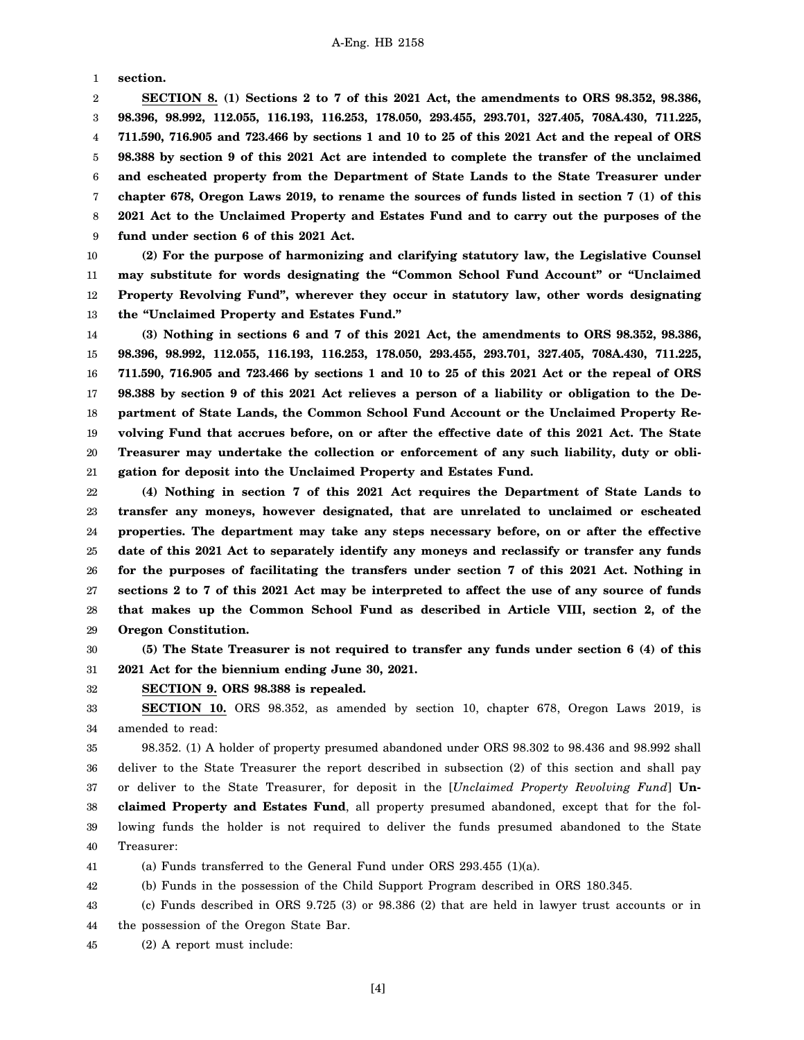1 **section.**

2 3 4 5 6 7 8 9 **SECTION 8. (1) Sections 2 to 7 of this 2021 Act, the amendments to ORS 98.352, 98.386, 98.396, 98.992, 112.055, 116.193, 116.253, 178.050, 293.455, 293.701, 327.405, 708A.430, 711.225, 711.590, 716.905 and 723.466 by sections 1 and 10 to 25 of this 2021 Act and the repeal of ORS 98.388 by section 9 of this 2021 Act are intended to complete the transfer of the unclaimed and escheated property from the Department of State Lands to the State Treasurer under chapter 678, Oregon Laws 2019, to rename the sources of funds listed in section 7 (1) of this 2021 Act to the Unclaimed Property and Estates Fund and to carry out the purposes of the fund under section 6 of this 2021 Act.**

10 11 12 13 **(2) For the purpose of harmonizing and clarifying statutory law, the Legislative Counsel may substitute for words designating the "Common School Fund Account" or "Unclaimed Property Revolving Fund", wherever they occur in statutory law, other words designating the "Unclaimed Property and Estates Fund."**

14 15 16 17 18 19 20 21 **(3) Nothing in sections 6 and 7 of this 2021 Act, the amendments to ORS 98.352, 98.386, 98.396, 98.992, 112.055, 116.193, 116.253, 178.050, 293.455, 293.701, 327.405, 708A.430, 711.225, 711.590, 716.905 and 723.466 by sections 1 and 10 to 25 of this 2021 Act or the repeal of ORS 98.388 by section 9 of this 2021 Act relieves a person of a liability or obligation to the Department of State Lands, the Common School Fund Account or the Unclaimed Property Revolving Fund that accrues before, on or after the effective date of this 2021 Act. The State Treasurer may undertake the collection or enforcement of any such liability, duty or obligation for deposit into the Unclaimed Property and Estates Fund.**

22 23 24 25 26 27 28 29 **(4) Nothing in section 7 of this 2021 Act requires the Department of State Lands to transfer any moneys, however designated, that are unrelated to unclaimed or escheated properties. The department may take any steps necessary before, on or after the effective date of this 2021 Act to separately identify any moneys and reclassify or transfer any funds for the purposes of facilitating the transfers under section 7 of this 2021 Act. Nothing in sections 2 to 7 of this 2021 Act may be interpreted to affect the use of any source of funds that makes up the Common School Fund as described in Article VIII, section 2, of the Oregon Constitution.**

30 31 **(5) The State Treasurer is not required to transfer any funds under section 6 (4) of this 2021 Act for the biennium ending June 30, 2021.**

32 **SECTION 9. ORS 98.388 is repealed.**

33 34 **SECTION 10.** ORS 98.352, as amended by section 10, chapter 678, Oregon Laws 2019, is amended to read:

35 36 37 38 39 40 98.352. (1) A holder of property presumed abandoned under ORS 98.302 to 98.436 and 98.992 shall deliver to the State Treasurer the report described in subsection (2) of this section and shall pay or deliver to the State Treasurer, for deposit in the [*Unclaimed Property Revolving Fund*] **Unclaimed Property and Estates Fund**, all property presumed abandoned, except that for the following funds the holder is not required to deliver the funds presumed abandoned to the State Treasurer:

41 (a) Funds transferred to the General Fund under ORS 293.455 (1)(a).

42 (b) Funds in the possession of the Child Support Program described in ORS 180.345.

43 (c) Funds described in ORS 9.725 (3) or 98.386 (2) that are held in lawyer trust accounts or in

44 the possession of the Oregon State Bar.

45 (2) A report must include:

[4]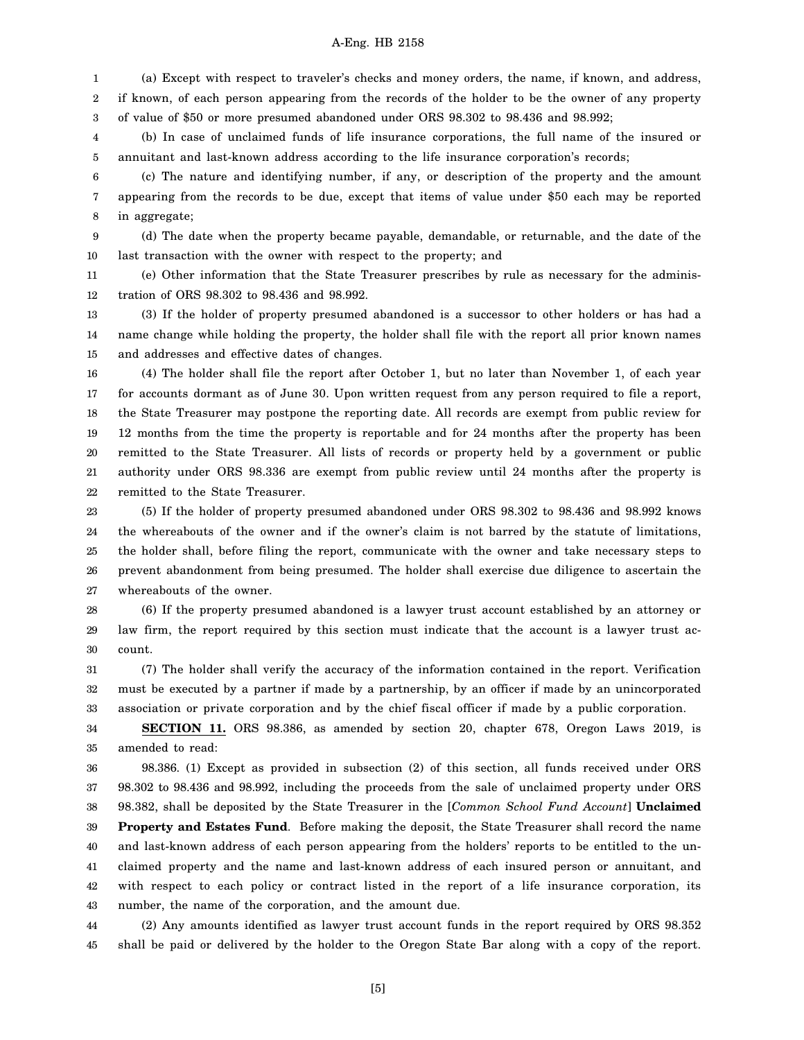1 (a) Except with respect to traveler's checks and money orders, the name, if known, and address,

2 3 if known, of each person appearing from the records of the holder to be the owner of any property of value of \$50 or more presumed abandoned under ORS 98.302 to 98.436 and 98.992;

4 5 (b) In case of unclaimed funds of life insurance corporations, the full name of the insured or annuitant and last-known address according to the life insurance corporation's records;

6 7 8 (c) The nature and identifying number, if any, or description of the property and the amount appearing from the records to be due, except that items of value under \$50 each may be reported in aggregate;

9 10 (d) The date when the property became payable, demandable, or returnable, and the date of the last transaction with the owner with respect to the property; and

11 12 (e) Other information that the State Treasurer prescribes by rule as necessary for the administration of ORS 98.302 to 98.436 and 98.992.

13 14 15 (3) If the holder of property presumed abandoned is a successor to other holders or has had a name change while holding the property, the holder shall file with the report all prior known names and addresses and effective dates of changes.

16 17 18 19 20 21 22 (4) The holder shall file the report after October 1, but no later than November 1, of each year for accounts dormant as of June 30. Upon written request from any person required to file a report, the State Treasurer may postpone the reporting date. All records are exempt from public review for 12 months from the time the property is reportable and for 24 months after the property has been remitted to the State Treasurer. All lists of records or property held by a government or public authority under ORS 98.336 are exempt from public review until 24 months after the property is remitted to the State Treasurer.

23 24 25 26 27 (5) If the holder of property presumed abandoned under ORS 98.302 to 98.436 and 98.992 knows the whereabouts of the owner and if the owner's claim is not barred by the statute of limitations, the holder shall, before filing the report, communicate with the owner and take necessary steps to prevent abandonment from being presumed. The holder shall exercise due diligence to ascertain the whereabouts of the owner.

28 29 30 (6) If the property presumed abandoned is a lawyer trust account established by an attorney or law firm, the report required by this section must indicate that the account is a lawyer trust account.

31 32 33 (7) The holder shall verify the accuracy of the information contained in the report. Verification must be executed by a partner if made by a partnership, by an officer if made by an unincorporated association or private corporation and by the chief fiscal officer if made by a public corporation.

34 35 **SECTION 11.** ORS 98.386, as amended by section 20, chapter 678, Oregon Laws 2019, is amended to read:

36 37 38 39 40 41 42 43 98.386. (1) Except as provided in subsection (2) of this section, all funds received under ORS 98.302 to 98.436 and 98.992, including the proceeds from the sale of unclaimed property under ORS 98.382, shall be deposited by the State Treasurer in the [*Common School Fund Account*] **Unclaimed Property and Estates Fund**. Before making the deposit, the State Treasurer shall record the name and last-known address of each person appearing from the holders' reports to be entitled to the unclaimed property and the name and last-known address of each insured person or annuitant, and with respect to each policy or contract listed in the report of a life insurance corporation, its number, the name of the corporation, and the amount due.

44 45 (2) Any amounts identified as lawyer trust account funds in the report required by ORS 98.352 shall be paid or delivered by the holder to the Oregon State Bar along with a copy of the report.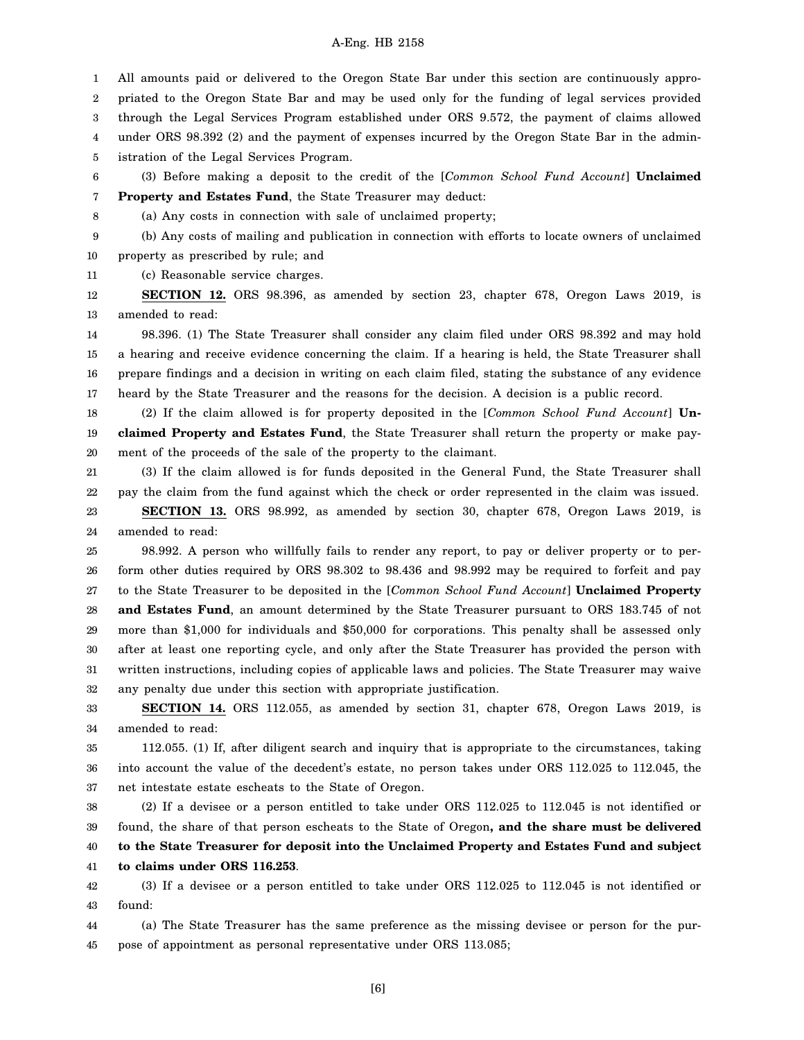1 2 3 4 5 All amounts paid or delivered to the Oregon State Bar under this section are continuously appropriated to the Oregon State Bar and may be used only for the funding of legal services provided through the Legal Services Program established under ORS 9.572, the payment of claims allowed under ORS 98.392 (2) and the payment of expenses incurred by the Oregon State Bar in the administration of the Legal Services Program.

6 7 (3) Before making a deposit to the credit of the [*Common School Fund Account*] **Unclaimed Property and Estates Fund**, the State Treasurer may deduct:

8

(a) Any costs in connection with sale of unclaimed property;

9 (b) Any costs of mailing and publication in connection with efforts to locate owners of unclaimed

10 property as prescribed by rule; and

11 (c) Reasonable service charges.

12 13 **SECTION 12.** ORS 98.396, as amended by section 23, chapter 678, Oregon Laws 2019, is amended to read:

14 15 16 17 98.396. (1) The State Treasurer shall consider any claim filed under ORS 98.392 and may hold a hearing and receive evidence concerning the claim. If a hearing is held, the State Treasurer shall prepare findings and a decision in writing on each claim filed, stating the substance of any evidence heard by the State Treasurer and the reasons for the decision. A decision is a public record.

18 19 20 (2) If the claim allowed is for property deposited in the [*Common School Fund Account*] **Unclaimed Property and Estates Fund**, the State Treasurer shall return the property or make payment of the proceeds of the sale of the property to the claimant.

21 22 (3) If the claim allowed is for funds deposited in the General Fund, the State Treasurer shall pay the claim from the fund against which the check or order represented in the claim was issued.

23 24 **SECTION 13.** ORS 98.992, as amended by section 30, chapter 678, Oregon Laws 2019, is amended to read:

25 26 27 28 29 30 31 32 98.992. A person who willfully fails to render any report, to pay or deliver property or to perform other duties required by ORS 98.302 to 98.436 and 98.992 may be required to forfeit and pay to the State Treasurer to be deposited in the [*Common School Fund Account*] **Unclaimed Property and Estates Fund**, an amount determined by the State Treasurer pursuant to ORS 183.745 of not more than \$1,000 for individuals and \$50,000 for corporations. This penalty shall be assessed only after at least one reporting cycle, and only after the State Treasurer has provided the person with written instructions, including copies of applicable laws and policies. The State Treasurer may waive any penalty due under this section with appropriate justification.

33 34 **SECTION 14.** ORS 112.055, as amended by section 31, chapter 678, Oregon Laws 2019, is amended to read:

35 36 37 112.055. (1) If, after diligent search and inquiry that is appropriate to the circumstances, taking into account the value of the decedent's estate, no person takes under ORS 112.025 to 112.045, the net intestate estate escheats to the State of Oregon.

38 39 40 41 (2) If a devisee or a person entitled to take under ORS 112.025 to 112.045 is not identified or found, the share of that person escheats to the State of Oregon**, and the share must be delivered to the State Treasurer for deposit into the Unclaimed Property and Estates Fund and subject to claims under ORS 116.253**.

42 43 (3) If a devisee or a person entitled to take under ORS 112.025 to 112.045 is not identified or found:

44 45 (a) The State Treasurer has the same preference as the missing devisee or person for the purpose of appointment as personal representative under ORS 113.085;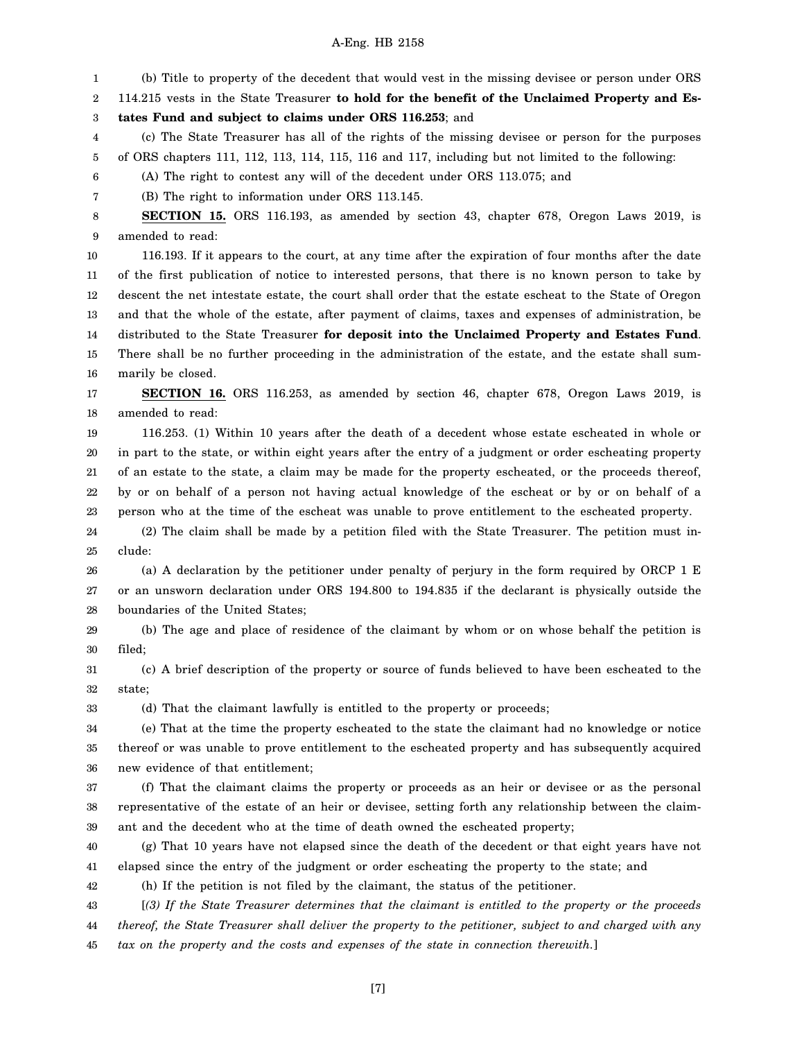1 (b) Title to property of the decedent that would vest in the missing devisee or person under ORS

2 114.215 vests in the State Treasurer **to hold for the benefit of the Unclaimed Property and Es-**

3 **tates Fund and subject to claims under ORS 116.253**; and

4 5 (c) The State Treasurer has all of the rights of the missing devisee or person for the purposes of ORS chapters 111, 112, 113, 114, 115, 116 and 117, including but not limited to the following:

6 (A) The right to contest any will of the decedent under ORS 113.075; and

7 (B) The right to information under ORS 113.145.

8 9 **SECTION 15.** ORS 116.193, as amended by section 43, chapter 678, Oregon Laws 2019, is amended to read:

10 11 12 13 14 15 16 116.193. If it appears to the court, at any time after the expiration of four months after the date of the first publication of notice to interested persons, that there is no known person to take by descent the net intestate estate, the court shall order that the estate escheat to the State of Oregon and that the whole of the estate, after payment of claims, taxes and expenses of administration, be distributed to the State Treasurer **for deposit into the Unclaimed Property and Estates Fund**. There shall be no further proceeding in the administration of the estate, and the estate shall summarily be closed.

17 18 **SECTION 16.** ORS 116.253, as amended by section 46, chapter 678, Oregon Laws 2019, is amended to read:

19 20 21 22 23 116.253. (1) Within 10 years after the death of a decedent whose estate escheated in whole or in part to the state, or within eight years after the entry of a judgment or order escheating property of an estate to the state, a claim may be made for the property escheated, or the proceeds thereof, by or on behalf of a person not having actual knowledge of the escheat or by or on behalf of a person who at the time of the escheat was unable to prove entitlement to the escheated property.

24 25 (2) The claim shall be made by a petition filed with the State Treasurer. The petition must include:

26 27 28 (a) A declaration by the petitioner under penalty of perjury in the form required by ORCP 1 E or an unsworn declaration under ORS 194.800 to 194.835 if the declarant is physically outside the boundaries of the United States;

29 30 (b) The age and place of residence of the claimant by whom or on whose behalf the petition is filed;

31 32 (c) A brief description of the property or source of funds believed to have been escheated to the state;

33 (d) That the claimant lawfully is entitled to the property or proceeds;

34 35 36 (e) That at the time the property escheated to the state the claimant had no knowledge or notice thereof or was unable to prove entitlement to the escheated property and has subsequently acquired new evidence of that entitlement;

37 38 39 (f) That the claimant claims the property or proceeds as an heir or devisee or as the personal representative of the estate of an heir or devisee, setting forth any relationship between the claimant and the decedent who at the time of death owned the escheated property;

40 41 (g) That 10 years have not elapsed since the death of the decedent or that eight years have not elapsed since the entry of the judgment or order escheating the property to the state; and

42 (h) If the petition is not filed by the claimant, the status of the petitioner.

43 44 45 [*(3) If the State Treasurer determines that the claimant is entitled to the property or the proceeds thereof, the State Treasurer shall deliver the property to the petitioner, subject to and charged with any tax on the property and the costs and expenses of the state in connection therewith.*]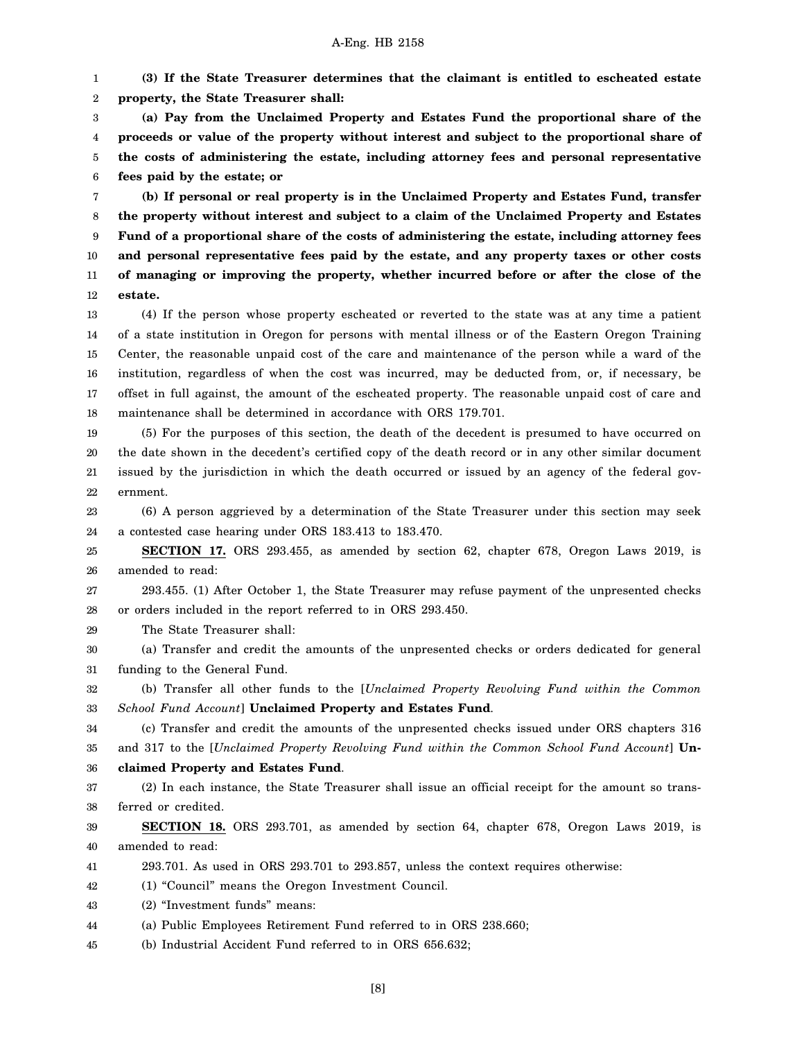1 2 **(3) If the State Treasurer determines that the claimant is entitled to escheated estate property, the State Treasurer shall:**

3 4 5 6 **(a) Pay from the Unclaimed Property and Estates Fund the proportional share of the proceeds or value of the property without interest and subject to the proportional share of the costs of administering the estate, including attorney fees and personal representative fees paid by the estate; or**

7 8 9 10 11 12 **(b) If personal or real property is in the Unclaimed Property and Estates Fund, transfer the property without interest and subject to a claim of the Unclaimed Property and Estates Fund of a proportional share of the costs of administering the estate, including attorney fees and personal representative fees paid by the estate, and any property taxes or other costs of managing or improving the property, whether incurred before or after the close of the estate.**

13 14 15 16 17 18 (4) If the person whose property escheated or reverted to the state was at any time a patient of a state institution in Oregon for persons with mental illness or of the Eastern Oregon Training Center, the reasonable unpaid cost of the care and maintenance of the person while a ward of the institution, regardless of when the cost was incurred, may be deducted from, or, if necessary, be offset in full against, the amount of the escheated property. The reasonable unpaid cost of care and maintenance shall be determined in accordance with ORS 179.701.

19 20 21 22 (5) For the purposes of this section, the death of the decedent is presumed to have occurred on the date shown in the decedent's certified copy of the death record or in any other similar document issued by the jurisdiction in which the death occurred or issued by an agency of the federal government.

23 24 (6) A person aggrieved by a determination of the State Treasurer under this section may seek a contested case hearing under ORS 183.413 to 183.470.

25 26 **SECTION 17.** ORS 293.455, as amended by section 62, chapter 678, Oregon Laws 2019, is amended to read:

27 28 293.455. (1) After October 1, the State Treasurer may refuse payment of the unpresented checks or orders included in the report referred to in ORS 293.450.

29 The State Treasurer shall:

30 31 (a) Transfer and credit the amounts of the unpresented checks or orders dedicated for general funding to the General Fund.

32 33 (b) Transfer all other funds to the [*Unclaimed Property Revolving Fund within the Common School Fund Account*] **Unclaimed Property and Estates Fund**.

34 35 (c) Transfer and credit the amounts of the unpresented checks issued under ORS chapters 316 and 317 to the [*Unclaimed Property Revolving Fund within the Common School Fund Account*] **Un-**

36 **claimed Property and Estates Fund**.

37 38 (2) In each instance, the State Treasurer shall issue an official receipt for the amount so transferred or credited.

39 40 **SECTION 18.** ORS 293.701, as amended by section 64, chapter 678, Oregon Laws 2019, is amended to read:

41 293.701. As used in ORS 293.701 to 293.857, unless the context requires otherwise:

- 42 (1) "Council" means the Oregon Investment Council.
- 43 (2) "Investment funds" means:

44 (a) Public Employees Retirement Fund referred to in ORS 238.660;

45 (b) Industrial Accident Fund referred to in ORS 656.632;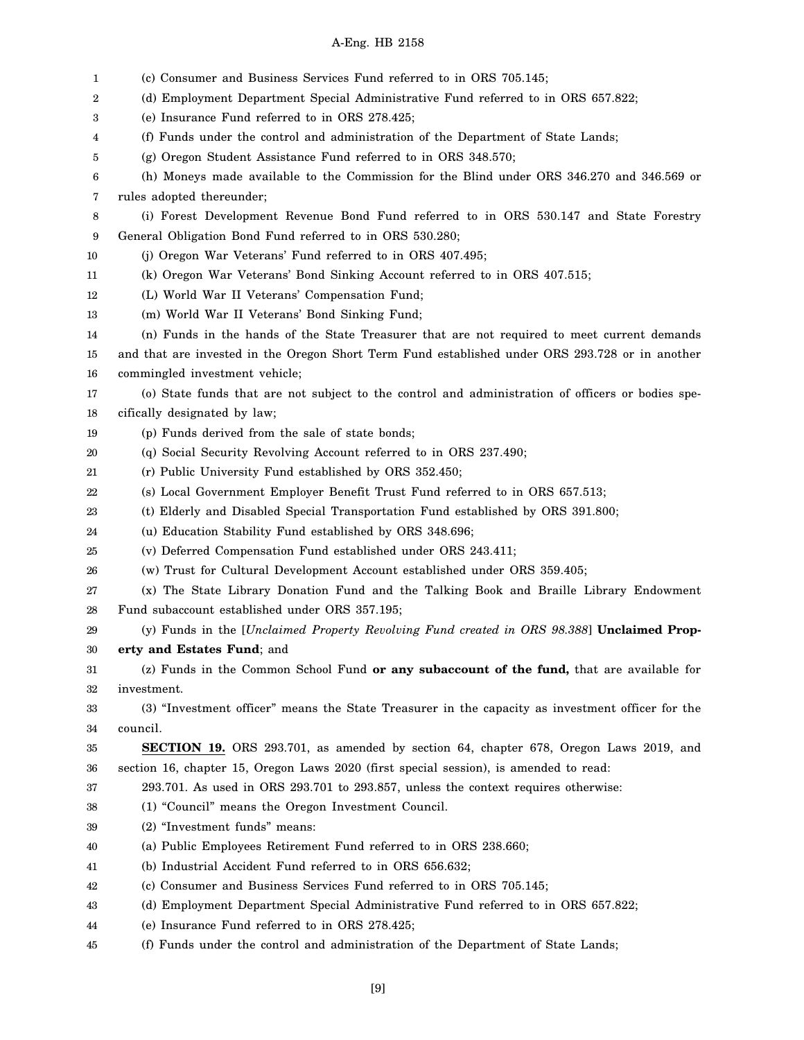| 1  | (c) Consumer and Business Services Fund referred to in ORS 705.145;                               |
|----|---------------------------------------------------------------------------------------------------|
| 2  | (d) Employment Department Special Administrative Fund referred to in ORS 657.822;                 |
| 3  | (e) Insurance Fund referred to in ORS 278.425;                                                    |
| 4  | (f) Funds under the control and administration of the Department of State Lands;                  |
| 5  | (g) Oregon Student Assistance Fund referred to in ORS 348.570;                                    |
| 6  | (h) Moneys made available to the Commission for the Blind under ORS 346.270 and 346.569 or        |
| 7  | rules adopted thereunder;                                                                         |
| 8  | (i) Forest Development Revenue Bond Fund referred to in ORS 530.147 and State Forestry            |
| 9  | General Obligation Bond Fund referred to in ORS 530.280;                                          |
| 10 | (j) Oregon War Veterans' Fund referred to in ORS 407.495;                                         |
| 11 | (k) Oregon War Veterans' Bond Sinking Account referred to in ORS 407.515;                         |
| 12 | (L) World War II Veterans' Compensation Fund;                                                     |
| 13 | (m) World War II Veterans' Bond Sinking Fund;                                                     |
| 14 | (n) Funds in the hands of the State Treasurer that are not required to meet current demands       |
| 15 | and that are invested in the Oregon Short Term Fund established under ORS 293.728 or in another   |
| 16 | commingled investment vehicle;                                                                    |
| 17 | (o) State funds that are not subject to the control and administration of officers or bodies spe- |
| 18 | cifically designated by law;                                                                      |
| 19 | (p) Funds derived from the sale of state bonds;                                                   |
| 20 | (q) Social Security Revolving Account referred to in ORS 237.490;                                 |
| 21 | (r) Public University Fund established by ORS 352.450;                                            |
| 22 | (s) Local Government Employer Benefit Trust Fund referred to in ORS 657.513;                      |
| 23 | (t) Elderly and Disabled Special Transportation Fund established by ORS 391.800;                  |
| 24 | (u) Education Stability Fund established by ORS 348.696;                                          |
| 25 | (v) Deferred Compensation Fund established under ORS 243.411;                                     |
| 26 | (w) Trust for Cultural Development Account established under ORS 359.405;                         |
| 27 | (x) The State Library Donation Fund and the Talking Book and Braille Library Endowment            |
| 28 | Fund subaccount established under ORS 357.195;                                                    |
| 29 | (y) Funds in the [Unclaimed Property Revolving Fund created in ORS 98.388] Unclaimed Prop-        |
| 30 | erty and Estates Fund; and                                                                        |
| 31 | (z) Funds in the Common School Fund or any subaccount of the fund, that are available for         |
| 32 | investment.                                                                                       |
| 33 | (3) "Investment officer" means the State Treasurer in the capacity as investment officer for the  |
| 34 | council.                                                                                          |
| 35 | <b>SECTION 19.</b> ORS 293.701, as amended by section 64, chapter 678, Oregon Laws 2019, and      |
| 36 | section 16, chapter 15, Oregon Laws 2020 (first special session), is amended to read:             |
| 37 | 293.701. As used in ORS 293.701 to 293.857, unless the context requires otherwise:                |
| 38 | (1) "Council" means the Oregon Investment Council.                                                |
| 39 | (2) "Investment funds" means:                                                                     |
| 40 | (a) Public Employees Retirement Fund referred to in ORS 238.660;                                  |
| 41 | (b) Industrial Accident Fund referred to in ORS 656.632;                                          |
| 42 | (c) Consumer and Business Services Fund referred to in ORS 705.145;                               |
| 43 | (d) Employment Department Special Administrative Fund referred to in ORS 657.822;                 |
| 44 | (e) Insurance Fund referred to in ORS 278.425;                                                    |
| 45 | (f) Funds under the control and administration of the Department of State Lands;                  |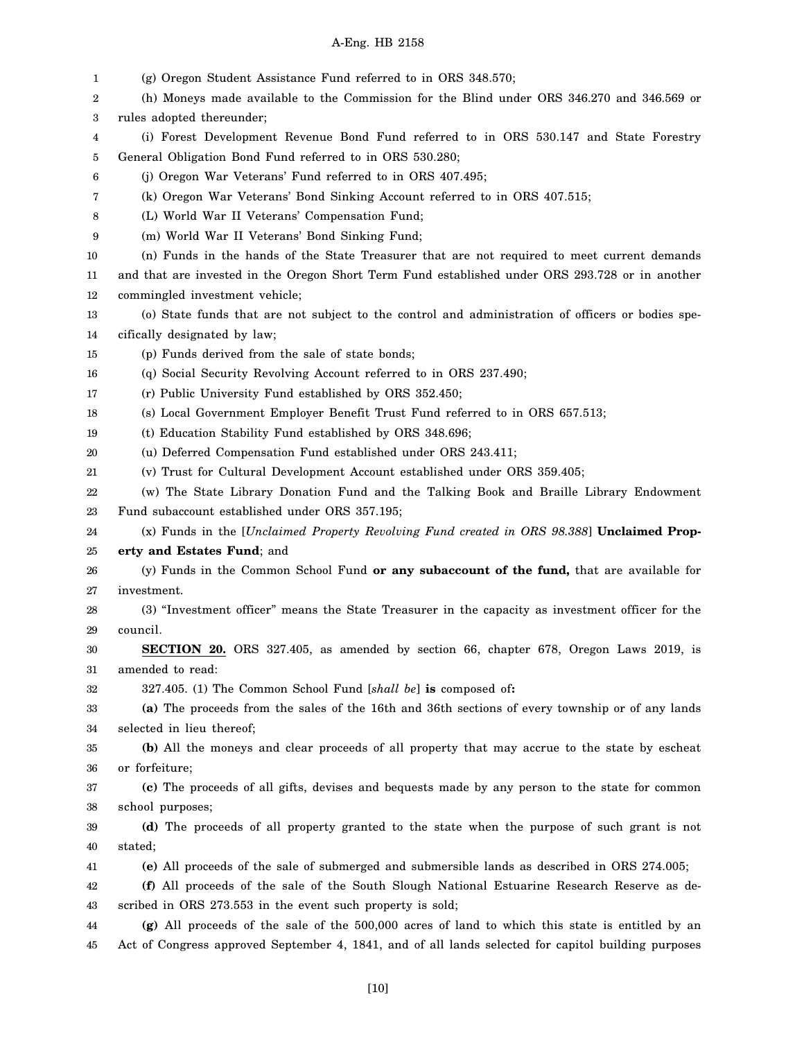| 1        | (g) Oregon Student Assistance Fund referred to in ORS 348.570;                                                                                                    |
|----------|-------------------------------------------------------------------------------------------------------------------------------------------------------------------|
| 2        | (h) Moneys made available to the Commission for the Blind under ORS 346.270 and 346.569 or                                                                        |
| 3        | rules adopted thereunder;                                                                                                                                         |
| 4        | (i) Forest Development Revenue Bond Fund referred to in ORS 530.147 and State Forestry                                                                            |
| 5        | General Obligation Bond Fund referred to in ORS 530.280;                                                                                                          |
| 6        | (j) Oregon War Veterans' Fund referred to in ORS 407.495;                                                                                                         |
| 7        | (k) Oregon War Veterans' Bond Sinking Account referred to in ORS 407.515;                                                                                         |
| 8        | (L) World War II Veterans' Compensation Fund;                                                                                                                     |
| 9        | (m) World War II Veterans' Bond Sinking Fund;                                                                                                                     |
| 10       | (n) Funds in the hands of the State Treasurer that are not required to meet current demands                                                                       |
| 11       | and that are invested in the Oregon Short Term Fund established under ORS 293.728 or in another                                                                   |
| 12       | commingled investment vehicle;                                                                                                                                    |
| 13       | (o) State funds that are not subject to the control and administration of officers or bodies spe-                                                                 |
| 14       | cifically designated by law;                                                                                                                                      |
| 15       | (p) Funds derived from the sale of state bonds;                                                                                                                   |
| 16       | (q) Social Security Revolving Account referred to in ORS 237.490;                                                                                                 |
| 17       | (r) Public University Fund established by ORS 352.450;                                                                                                            |
| 18       | (s) Local Government Employer Benefit Trust Fund referred to in ORS 657.513;                                                                                      |
| 19       | (t) Education Stability Fund established by ORS 348.696;                                                                                                          |
| 20       | (u) Deferred Compensation Fund established under ORS 243.411;                                                                                                     |
| 21       | (v) Trust for Cultural Development Account established under ORS 359.405;                                                                                         |
| 22       | (w) The State Library Donation Fund and the Talking Book and Braille Library Endowment                                                                            |
| 23       | Fund subaccount established under ORS 357.195;                                                                                                                    |
| 24       | (x) Funds in the [Unclaimed Property Revolving Fund created in ORS 98.388] Unclaimed Prop-                                                                        |
| 25       | erty and Estates Fund; and                                                                                                                                        |
| 26       | (y) Funds in the Common School Fund or any subaccount of the fund, that are available for                                                                         |
| 27       | investment.                                                                                                                                                       |
| 28       | (3) "Investment officer" means the State Treasurer in the capacity as investment officer for the                                                                  |
| 29       | council.                                                                                                                                                          |
| 30       | SECTION 20. ORS 327.405, as amended by section 66, chapter 678, Oregon Laws 2019, is                                                                              |
| 31       | amended to read:                                                                                                                                                  |
| 32       | 327.405. (1) The Common School Fund [shall be] is composed of:<br>(a) The proceeds from the sales of the 16th and 36th sections of every township or of any lands |
| 33<br>34 | selected in lieu thereof;                                                                                                                                         |
| 35       | (b) All the moneys and clear proceeds of all property that may accrue to the state by escheat                                                                     |
| 36       | or forfeiture;                                                                                                                                                    |
| 37       | (c) The proceeds of all gifts, devises and bequests made by any person to the state for common                                                                    |
| 38       | school purposes;                                                                                                                                                  |
| 39       | (d) The proceeds of all property granted to the state when the purpose of such grant is not                                                                       |
| 40       | stated;                                                                                                                                                           |
| 41       | (e) All proceeds of the sale of submerged and submersible lands as described in ORS 274.005;                                                                      |
| 42       | (f) All proceeds of the sale of the South Slough National Estuarine Research Reserve as de-                                                                       |
| 43       | scribed in ORS 273.553 in the event such property is sold;                                                                                                        |
| 44       | (g) All proceeds of the sale of the 500,000 acres of land to which this state is entitled by an                                                                   |
| 45       | Act of Congress approved September 4, 1841, and of all lands selected for capitol building purposes                                                               |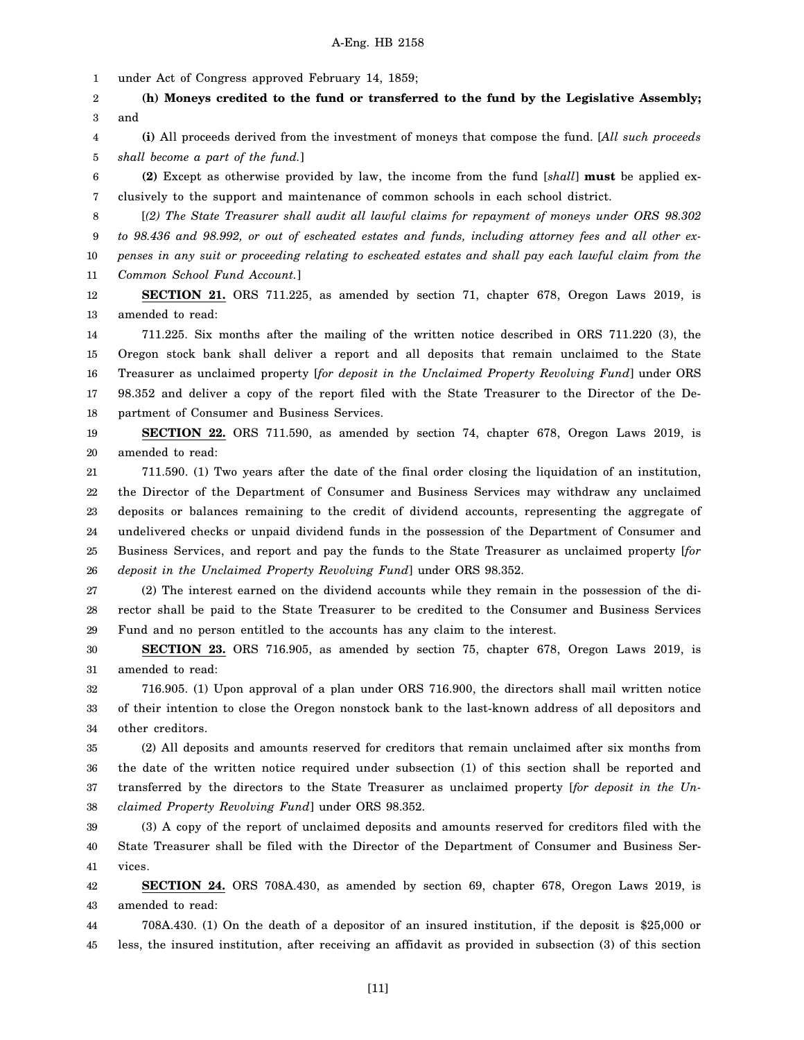1 under Act of Congress approved February 14, 1859;

2 3 **(h) Moneys credited to the fund or transferred to the fund by the Legislative Assembly;** and

4 5 **(i)** All proceeds derived from the investment of moneys that compose the fund. [*All such proceeds shall become a part of the fund.*]

6 7 **(2)** Except as otherwise provided by law, the income from the fund [*shall*] **must** be applied exclusively to the support and maintenance of common schools in each school district.

8 9 10 [*(2) The State Treasurer shall audit all lawful claims for repayment of moneys under ORS 98.302 to 98.436 and 98.992, or out of escheated estates and funds, including attorney fees and all other expenses in any suit or proceeding relating to escheated estates and shall pay each lawful claim from the*

11 *Common School Fund Account.*]

12 13 **SECTION 21.** ORS 711.225, as amended by section 71, chapter 678, Oregon Laws 2019, is amended to read:

14 15 16 17 18 711.225. Six months after the mailing of the written notice described in ORS 711.220 (3), the Oregon stock bank shall deliver a report and all deposits that remain unclaimed to the State Treasurer as unclaimed property [*for deposit in the Unclaimed Property Revolving Fund*] under ORS 98.352 and deliver a copy of the report filed with the State Treasurer to the Director of the Department of Consumer and Business Services.

19 20 **SECTION 22.** ORS 711.590, as amended by section 74, chapter 678, Oregon Laws 2019, is amended to read:

21 22 23 24 25 26 711.590. (1) Two years after the date of the final order closing the liquidation of an institution, the Director of the Department of Consumer and Business Services may withdraw any unclaimed deposits or balances remaining to the credit of dividend accounts, representing the aggregate of undelivered checks or unpaid dividend funds in the possession of the Department of Consumer and Business Services, and report and pay the funds to the State Treasurer as unclaimed property [*for deposit in the Unclaimed Property Revolving Fund*] under ORS 98.352.

27 28 29 (2) The interest earned on the dividend accounts while they remain in the possession of the director shall be paid to the State Treasurer to be credited to the Consumer and Business Services Fund and no person entitled to the accounts has any claim to the interest.

30 31 **SECTION 23.** ORS 716.905, as amended by section 75, chapter 678, Oregon Laws 2019, is amended to read:

32 33 34 716.905. (1) Upon approval of a plan under ORS 716.900, the directors shall mail written notice of their intention to close the Oregon nonstock bank to the last-known address of all depositors and other creditors.

35 36 37 38 (2) All deposits and amounts reserved for creditors that remain unclaimed after six months from the date of the written notice required under subsection (1) of this section shall be reported and transferred by the directors to the State Treasurer as unclaimed property [*for deposit in the Unclaimed Property Revolving Fund*] under ORS 98.352.

39 40 41 (3) A copy of the report of unclaimed deposits and amounts reserved for creditors filed with the State Treasurer shall be filed with the Director of the Department of Consumer and Business Services.

42 43 **SECTION 24.** ORS 708A.430, as amended by section 69, chapter 678, Oregon Laws 2019, is amended to read:

44 45 708A.430. (1) On the death of a depositor of an insured institution, if the deposit is \$25,000 or less, the insured institution, after receiving an affidavit as provided in subsection (3) of this section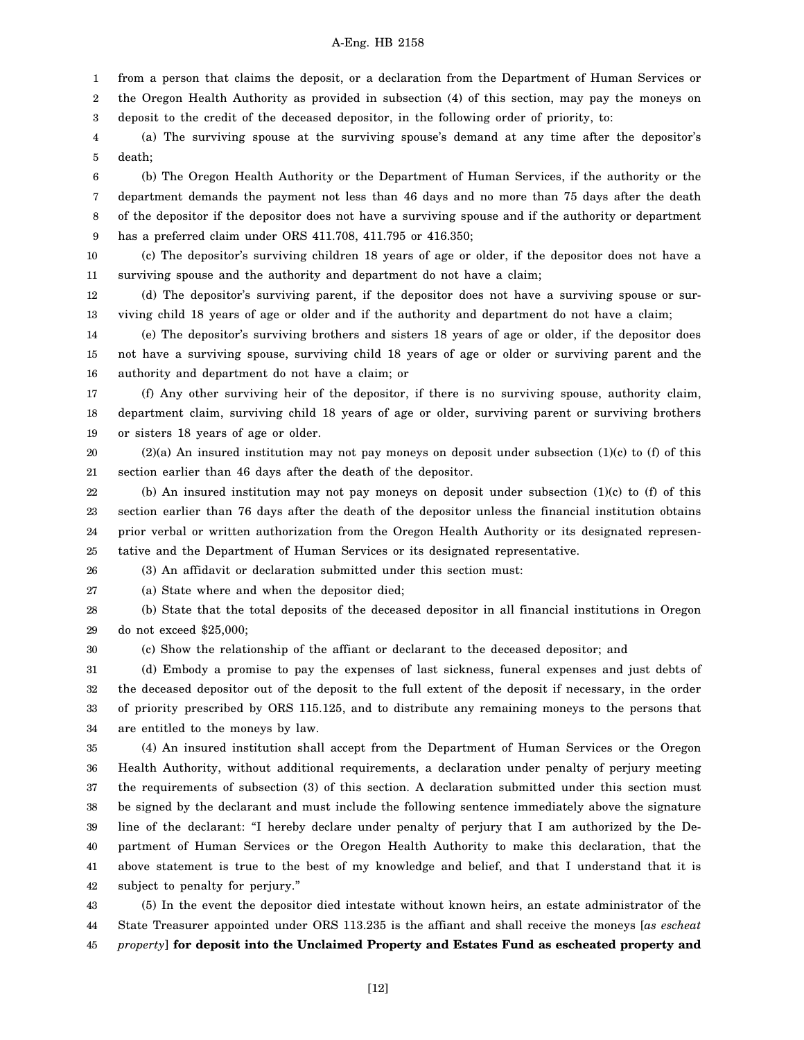1 2 from a person that claims the deposit, or a declaration from the Department of Human Services or the Oregon Health Authority as provided in subsection (4) of this section, may pay the moneys on

3 deposit to the credit of the deceased depositor, in the following order of priority, to:

4 5 (a) The surviving spouse at the surviving spouse's demand at any time after the depositor's death;

6 7 8 9 (b) The Oregon Health Authority or the Department of Human Services, if the authority or the department demands the payment not less than 46 days and no more than 75 days after the death of the depositor if the depositor does not have a surviving spouse and if the authority or department has a preferred claim under ORS 411.708, 411.795 or 416.350;

10 11 (c) The depositor's surviving children 18 years of age or older, if the depositor does not have a surviving spouse and the authority and department do not have a claim;

12 13 (d) The depositor's surviving parent, if the depositor does not have a surviving spouse or surviving child 18 years of age or older and if the authority and department do not have a claim;

14 15 16 (e) The depositor's surviving brothers and sisters 18 years of age or older, if the depositor does not have a surviving spouse, surviving child 18 years of age or older or surviving parent and the authority and department do not have a claim; or

17 18 19 (f) Any other surviving heir of the depositor, if there is no surviving spouse, authority claim, department claim, surviving child 18 years of age or older, surviving parent or surviving brothers or sisters 18 years of age or older.

20 21  $(2)(a)$  An insured institution may not pay moneys on deposit under subsection  $(1)(c)$  to  $(f)$  of this section earlier than 46 days after the death of the depositor.

22 23 24 25 (b) An insured institution may not pay moneys on deposit under subsection (1)(c) to (f) of this section earlier than 76 days after the death of the depositor unless the financial institution obtains prior verbal or written authorization from the Oregon Health Authority or its designated representative and the Department of Human Services or its designated representative.

26 (3) An affidavit or declaration submitted under this section must:

27 (a) State where and when the depositor died;

28 29 (b) State that the total deposits of the deceased depositor in all financial institutions in Oregon do not exceed \$25,000;

30

(c) Show the relationship of the affiant or declarant to the deceased depositor; and

31 32 33 34 (d) Embody a promise to pay the expenses of last sickness, funeral expenses and just debts of the deceased depositor out of the deposit to the full extent of the deposit if necessary, in the order of priority prescribed by ORS 115.125, and to distribute any remaining moneys to the persons that are entitled to the moneys by law.

35 36 37 38 39 40 41 42 (4) An insured institution shall accept from the Department of Human Services or the Oregon Health Authority, without additional requirements, a declaration under penalty of perjury meeting the requirements of subsection (3) of this section. A declaration submitted under this section must be signed by the declarant and must include the following sentence immediately above the signature line of the declarant: "I hereby declare under penalty of perjury that I am authorized by the Department of Human Services or the Oregon Health Authority to make this declaration, that the above statement is true to the best of my knowledge and belief, and that I understand that it is subject to penalty for perjury."

43 44 45 (5) In the event the depositor died intestate without known heirs, an estate administrator of the State Treasurer appointed under ORS 113.235 is the affiant and shall receive the moneys [*as escheat property*] **for deposit into the Unclaimed Property and Estates Fund as escheated property and**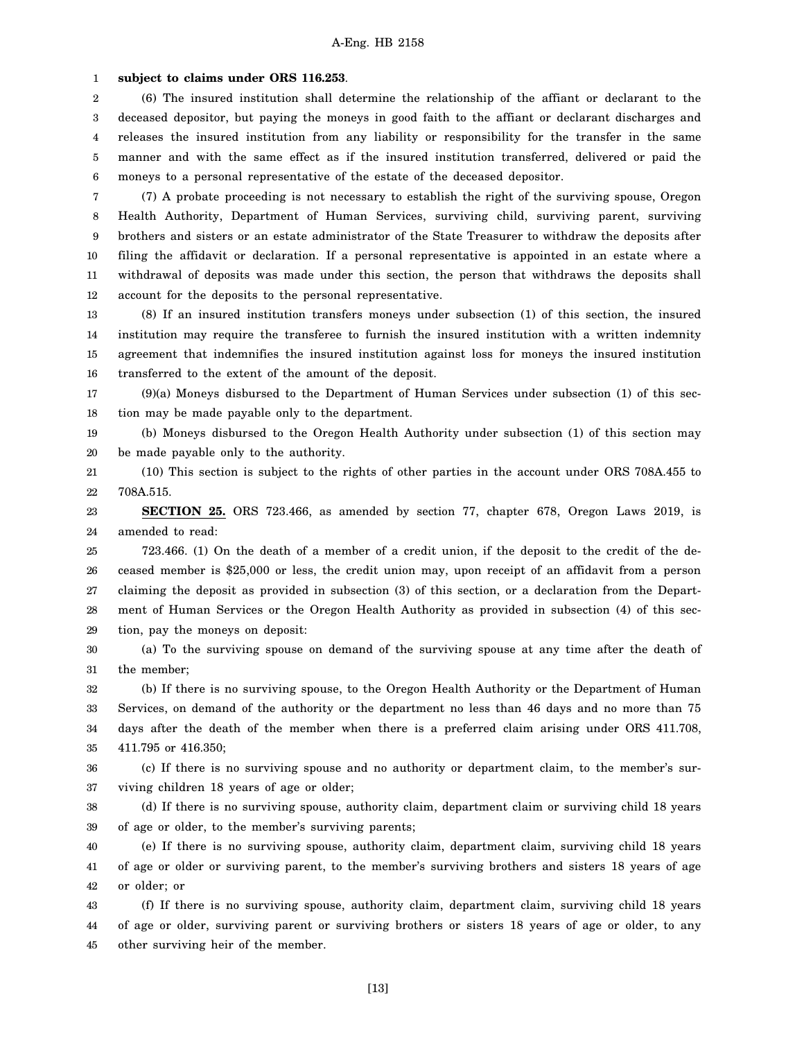1 **subject to claims under ORS 116.253**.

2 3 4 5 6 (6) The insured institution shall determine the relationship of the affiant or declarant to the deceased depositor, but paying the moneys in good faith to the affiant or declarant discharges and releases the insured institution from any liability or responsibility for the transfer in the same manner and with the same effect as if the insured institution transferred, delivered or paid the moneys to a personal representative of the estate of the deceased depositor.

7 8 9 10 11 12 (7) A probate proceeding is not necessary to establish the right of the surviving spouse, Oregon Health Authority, Department of Human Services, surviving child, surviving parent, surviving brothers and sisters or an estate administrator of the State Treasurer to withdraw the deposits after filing the affidavit or declaration. If a personal representative is appointed in an estate where a withdrawal of deposits was made under this section, the person that withdraws the deposits shall account for the deposits to the personal representative.

13 14 15 16 (8) If an insured institution transfers moneys under subsection (1) of this section, the insured institution may require the transferee to furnish the insured institution with a written indemnity agreement that indemnifies the insured institution against loss for moneys the insured institution transferred to the extent of the amount of the deposit.

17 18 (9)(a) Moneys disbursed to the Department of Human Services under subsection (1) of this section may be made payable only to the department.

19 20 (b) Moneys disbursed to the Oregon Health Authority under subsection (1) of this section may be made payable only to the authority.

21 22 (10) This section is subject to the rights of other parties in the account under ORS 708A.455 to 708A.515.

23 24 **SECTION 25.** ORS 723.466, as amended by section 77, chapter 678, Oregon Laws 2019, is amended to read:

25 26 27 28 29 723.466. (1) On the death of a member of a credit union, if the deposit to the credit of the deceased member is \$25,000 or less, the credit union may, upon receipt of an affidavit from a person claiming the deposit as provided in subsection (3) of this section, or a declaration from the Department of Human Services or the Oregon Health Authority as provided in subsection (4) of this section, pay the moneys on deposit:

30 31 (a) To the surviving spouse on demand of the surviving spouse at any time after the death of the member;

32 33 34 35 (b) If there is no surviving spouse, to the Oregon Health Authority or the Department of Human Services, on demand of the authority or the department no less than 46 days and no more than 75 days after the death of the member when there is a preferred claim arising under ORS 411.708, 411.795 or 416.350;

36 37 (c) If there is no surviving spouse and no authority or department claim, to the member's surviving children 18 years of age or older;

38 39 (d) If there is no surviving spouse, authority claim, department claim or surviving child 18 years of age or older, to the member's surviving parents;

40 41 42 (e) If there is no surviving spouse, authority claim, department claim, surviving child 18 years of age or older or surviving parent, to the member's surviving brothers and sisters 18 years of age or older; or

43 44 45 (f) If there is no surviving spouse, authority claim, department claim, surviving child 18 years of age or older, surviving parent or surviving brothers or sisters 18 years of age or older, to any other surviving heir of the member.

[13]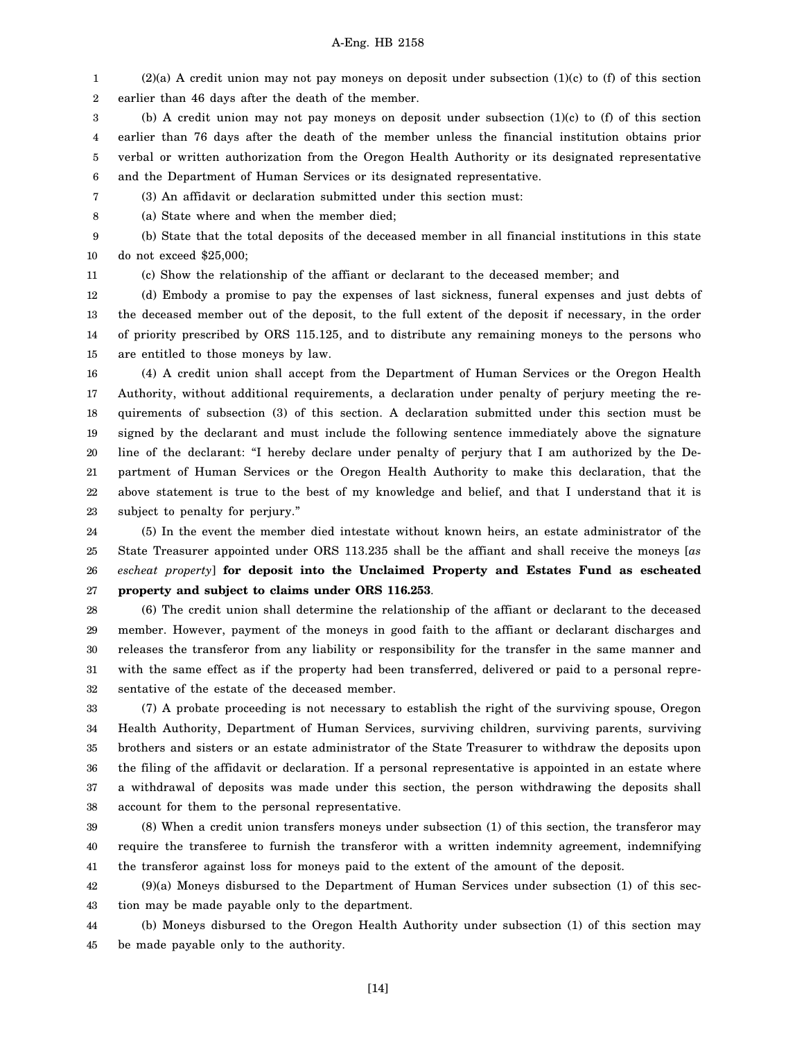1 2 (2)(a) A credit union may not pay moneys on deposit under subsection (1)(c) to (f) of this section earlier than 46 days after the death of the member.

3 4 5 6 (b) A credit union may not pay moneys on deposit under subsection  $(1)(c)$  to  $(f)$  of this section earlier than 76 days after the death of the member unless the financial institution obtains prior verbal or written authorization from the Oregon Health Authority or its designated representative and the Department of Human Services or its designated representative.

- 7 (3) An affidavit or declaration submitted under this section must:
- 8 (a) State where and when the member died;

9 10 (b) State that the total deposits of the deceased member in all financial institutions in this state do not exceed \$25,000;

11

(c) Show the relationship of the affiant or declarant to the deceased member; and

12 13 14 15 (d) Embody a promise to pay the expenses of last sickness, funeral expenses and just debts of the deceased member out of the deposit, to the full extent of the deposit if necessary, in the order of priority prescribed by ORS 115.125, and to distribute any remaining moneys to the persons who are entitled to those moneys by law.

16 17 18 19 20 21 22 23 (4) A credit union shall accept from the Department of Human Services or the Oregon Health Authority, without additional requirements, a declaration under penalty of perjury meeting the requirements of subsection (3) of this section. A declaration submitted under this section must be signed by the declarant and must include the following sentence immediately above the signature line of the declarant: "I hereby declare under penalty of perjury that I am authorized by the Department of Human Services or the Oregon Health Authority to make this declaration, that the above statement is true to the best of my knowledge and belief, and that I understand that it is subject to penalty for perjury."

24 25 26 27 (5) In the event the member died intestate without known heirs, an estate administrator of the State Treasurer appointed under ORS 113.235 shall be the affiant and shall receive the moneys [*as escheat property*] **for deposit into the Unclaimed Property and Estates Fund as escheated property and subject to claims under ORS 116.253**.

28 29 30 31 32 (6) The credit union shall determine the relationship of the affiant or declarant to the deceased member. However, payment of the moneys in good faith to the affiant or declarant discharges and releases the transferor from any liability or responsibility for the transfer in the same manner and with the same effect as if the property had been transferred, delivered or paid to a personal representative of the estate of the deceased member.

33 34 35 36 37 38 (7) A probate proceeding is not necessary to establish the right of the surviving spouse, Oregon Health Authority, Department of Human Services, surviving children, surviving parents, surviving brothers and sisters or an estate administrator of the State Treasurer to withdraw the deposits upon the filing of the affidavit or declaration. If a personal representative is appointed in an estate where a withdrawal of deposits was made under this section, the person withdrawing the deposits shall account for them to the personal representative.

39 40 41 (8) When a credit union transfers moneys under subsection (1) of this section, the transferor may require the transferee to furnish the transferor with a written indemnity agreement, indemnifying the transferor against loss for moneys paid to the extent of the amount of the deposit.

42 43 (9)(a) Moneys disbursed to the Department of Human Services under subsection (1) of this section may be made payable only to the department.

44 45 (b) Moneys disbursed to the Oregon Health Authority under subsection (1) of this section may be made payable only to the authority.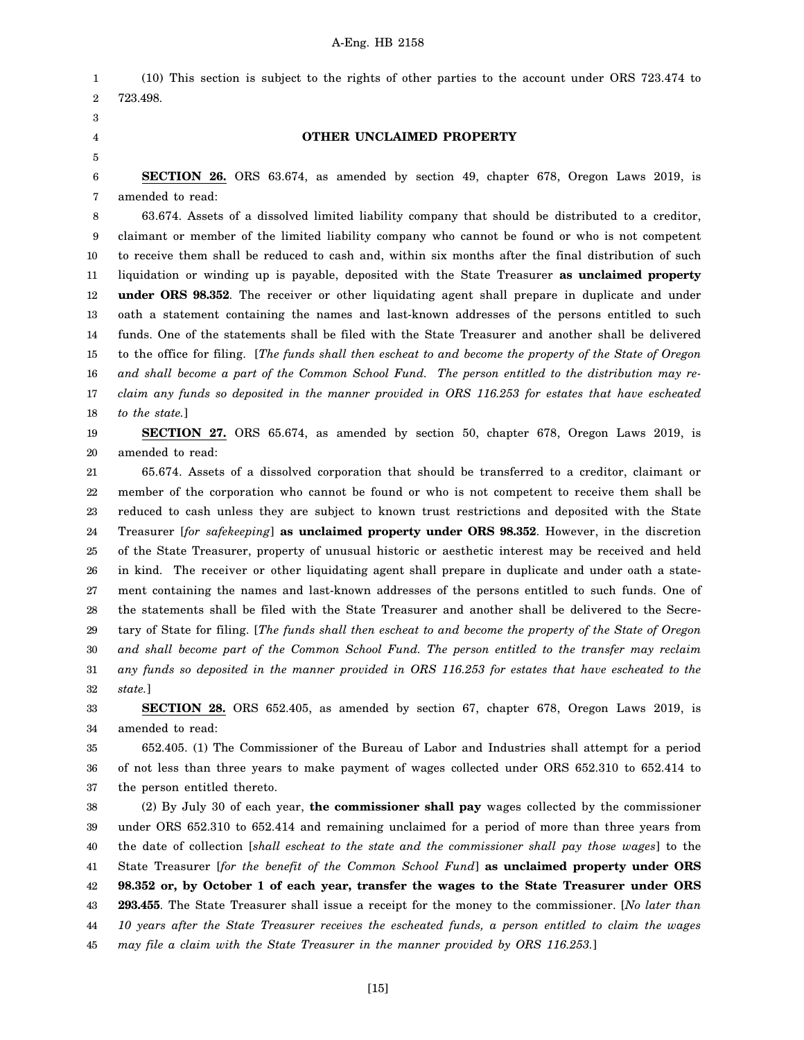1 2 (10) This section is subject to the rights of other parties to the account under ORS 723.474 to 723.498.

3

4 5

### **OTHER UNCLAIMED PROPERTY**

6 7 **SECTION 26.** ORS 63.674, as amended by section 49, chapter 678, Oregon Laws 2019, is amended to read:

8 9 10 11 12 13 14 15 16 17 18 63.674. Assets of a dissolved limited liability company that should be distributed to a creditor, claimant or member of the limited liability company who cannot be found or who is not competent to receive them shall be reduced to cash and, within six months after the final distribution of such liquidation or winding up is payable, deposited with the State Treasurer **as unclaimed property under ORS 98.352**. The receiver or other liquidating agent shall prepare in duplicate and under oath a statement containing the names and last-known addresses of the persons entitled to such funds. One of the statements shall be filed with the State Treasurer and another shall be delivered to the office for filing. [*The funds shall then escheat to and become the property of the State of Oregon and shall become a part of the Common School Fund. The person entitled to the distribution may reclaim any funds so deposited in the manner provided in ORS 116.253 for estates that have escheated to the state.*]

19 20 **SECTION 27.** ORS 65.674, as amended by section 50, chapter 678, Oregon Laws 2019, is amended to read:

21 22 23 24 25 26 27 28 29 30 31 32 65.674. Assets of a dissolved corporation that should be transferred to a creditor, claimant or member of the corporation who cannot be found or who is not competent to receive them shall be reduced to cash unless they are subject to known trust restrictions and deposited with the State Treasurer [*for safekeeping*] **as unclaimed property under ORS 98.352**. However, in the discretion of the State Treasurer, property of unusual historic or aesthetic interest may be received and held in kind. The receiver or other liquidating agent shall prepare in duplicate and under oath a statement containing the names and last-known addresses of the persons entitled to such funds. One of the statements shall be filed with the State Treasurer and another shall be delivered to the Secretary of State for filing. [*The funds shall then escheat to and become the property of the State of Oregon and shall become part of the Common School Fund. The person entitled to the transfer may reclaim any funds so deposited in the manner provided in ORS 116.253 for estates that have escheated to the state.*]

33 34 **SECTION 28.** ORS 652.405, as amended by section 67, chapter 678, Oregon Laws 2019, is amended to read:

35 36 37 652.405. (1) The Commissioner of the Bureau of Labor and Industries shall attempt for a period of not less than three years to make payment of wages collected under ORS 652.310 to 652.414 to the person entitled thereto.

38 39 40 41 42 43 44 45 (2) By July 30 of each year, **the commissioner shall pay** wages collected by the commissioner under ORS 652.310 to 652.414 and remaining unclaimed for a period of more than three years from the date of collection [*shall escheat to the state and the commissioner shall pay those wages*] to the State Treasurer [*for the benefit of the Common School Fund*] **as unclaimed property under ORS 98.352 or, by October 1 of each year, transfer the wages to the State Treasurer under ORS 293.455**. The State Treasurer shall issue a receipt for the money to the commissioner. [*No later than 10 years after the State Treasurer receives the escheated funds, a person entitled to claim the wages may file a claim with the State Treasurer in the manner provided by ORS 116.253.*]